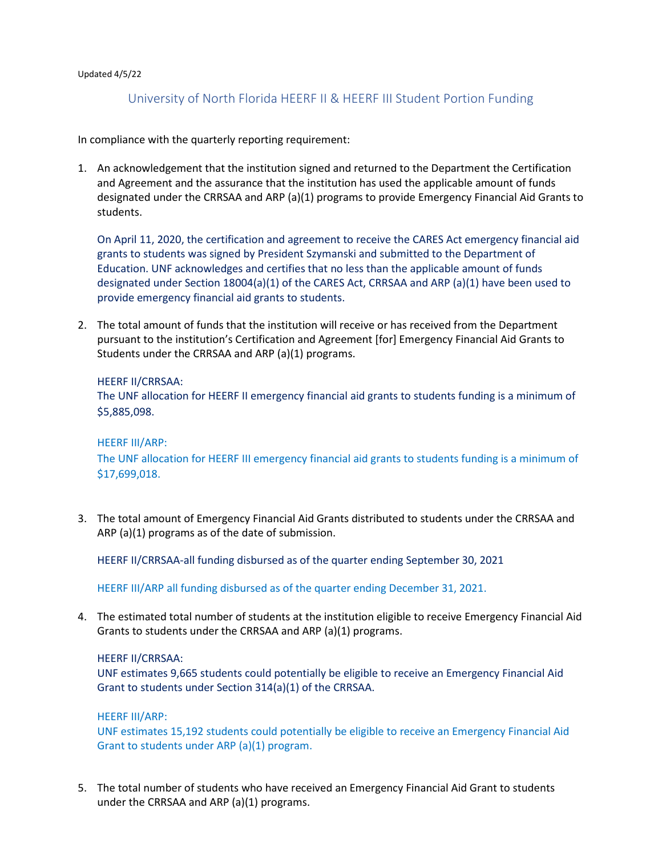#### Updated 4/5/22

# University of North Florida HEERF II & HEERF III Student Portion Funding

In compliance with the quarterly reporting requirement:

 and Agreement and the assurance that the institution has used the applicable amount of funds designated under the CRRSAA and ARP (a)(1) programs to provide Emergency Financial Aid Grants to 1. An acknowledgement that the institution signed and returned to the Department the Certification students.

 grants to students was signed by President Szymanski and submitted to the Department of Education. UNF acknowledges and certifies that no less than the applicable amount of funds designated under Section 18004(a)(1) of the CARES Act, CRRSAA and ARP (a)(1) have been used to On April 11, 2020, the certification and agreement to receive the CARES Act emergency financial aid provide emergency financial aid grants to students.

 2. The total amount of funds that the institution will receive or has received from the Department pursuant to the institution's Certification and Agreement [for] Emergency Financial Aid Grants to Students under the CRRSAA and ARP (a)(1) programs.

#### HEERF II/CRRSAA:

 The UNF allocation for HEERF II emergency financial aid grants to students funding is a minimum of \$5,885,098.

#### HEERF III/ARP:

The UNF allocation for HEERF III emergency financial aid grants to students funding is a minimum of \$17,699,018.

 ARP (a)(1) programs as of the date of submission. 3. The total amount of Emergency Financial Aid Grants distributed to students under the CRRSAA and

HEERF II/CRRSAA-all funding disbursed as of the quarter ending September 30, 2021

HEERF II/CRRSAA-all funding disbursed as of the quarter ending September 30, 2021<br>HEERF III/ARP all funding disbursed as of the quarter ending December 31, 2021.

 Grants to students under the CRRSAA and ARP (a)(1) programs. 4. The estimated total number of students at the institution eligible to receive Emergency Financial Aid

#### HEERF II/CRRSAA:

UNF estimates 9,665 students could potentially be eligible to receive an Emergency Financial Aid Grant to students under Section 314(a)(1) of the CRRSAA.

#### HEERF III/ARP:

UNF estimates 15,192 students could potentially be eligible to receive an Emergency Financial Aid Grant to students under ARP (a)(1) program.

5. The total number of students who have received an Emergency Financial Aid Grant to students under the CRRSAA and ARP (a)(1) programs.